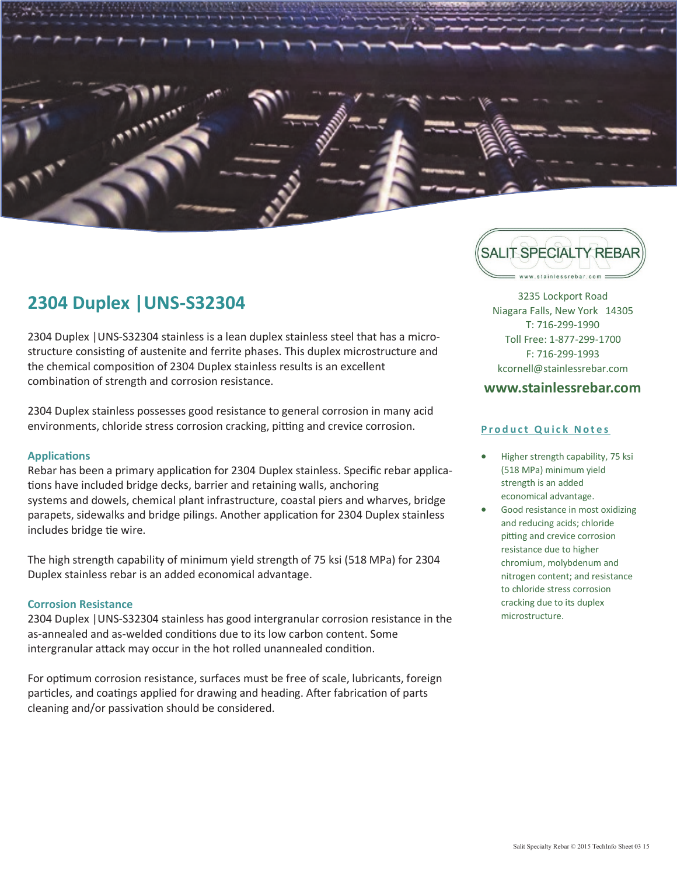

## **2304 Duplex |UNS-S32304**

2304 Duplex |UNS-S32304 stainless is a lean duplex stainless steel that has a microstructure consisting of austenite and ferrite phases. This duplex microstructure and the chemical composition of 2304 Duplex stainless results is an excellent combination of strength and corrosion resistance.

2304 Duplex stainless possesses good resistance to general corrosion in many acid environments, chloride stress corrosion cracking, pitting and crevice corrosion.

## **Applications**

Rebar has been a primary application for 2304 Duplex stainless. Specific rebar applications have included bridge decks, barrier and retaining walls, anchoring systems and dowels, chemical plant infrastructure, coastal piers and wharves, bridge parapets, sidewalks and bridge pilings. Another application for 2304 Duplex stainless includes bridge tie wire.

The high strength capability of minimum yield strength of 75 ksi (518 MPa) for 2304 Duplex stainless rebar is an added economical advantage.

## **Corrosion Resistance**

2304 Duplex |UNS-S32304 stainless has good intergranular corrosion resistance in the as-annealed and as-welded conditions due to its low carbon content. Some intergranular attack may occur in the hot rolled unannealed condition.

For optimum corrosion resistance, surfaces must be free of scale, lubricants, foreign particles, and coatings applied for drawing and heading. After fabrication of parts cleaning and/or passivation should be considered.



3235 Lockport Road Niagara Falls, New York 14305 T: 716-299-1990 Toll Free: 1-877-299-1700 F: 716-299-1993 kcornell@stainlessrebar.com

## **www.stainlessrebar.com**

## **Product Quick Notes**

- Higher strength capability, 75 ksi (518 MPa) minimum yield strength is an added economical advantage.
- Good resistance in most oxidizing and reducing acids; chloride pitting and crevice corrosion resistance due to higher chromium, molybdenum and nitrogen content; and resistance to chloride stress corrosion cracking due to its duplex microstructure.